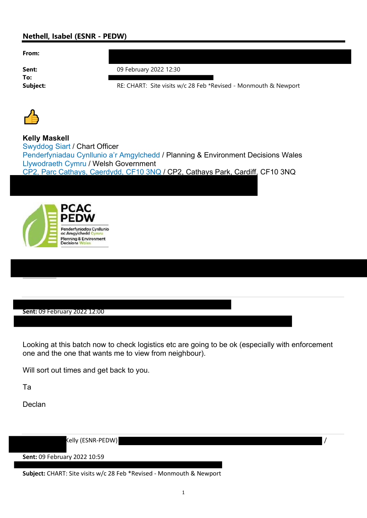## Nethell, Isabel (ESNR - PEDW)

From:

To:

**Sent:** 09 February 2022 12:30

Subject: SIE: CHART: Site visits w/c 28 Feb \*Revised - Monmouth & Newport



Kelly Maskell Swyddog Siart / Chart Officer Penderfyniadau Cynllunio a'r Amgylchedd / Planning & Environment Decisions Wales Llywodraeth Cymru / Welsh Government CP2, Parc Cathays, Caerdydd, CF10 3NQ / CP2, Cathays Park, Cardiff, CF10 3NQ



Sent: 09 February 2022 12:00

Looking at this batch now to check logistics etc are going to be ok (especially with enforcement one and the one that wants me to view from neighbour).

Will sort out times and get back to you.

Ta

Declan

Kelly (ESNR-PEDW) /

Sent: 09 February 2022 10:59

Subject: CHART: Site visits w/c 28 Feb \*Revised - Monmouth & Newport